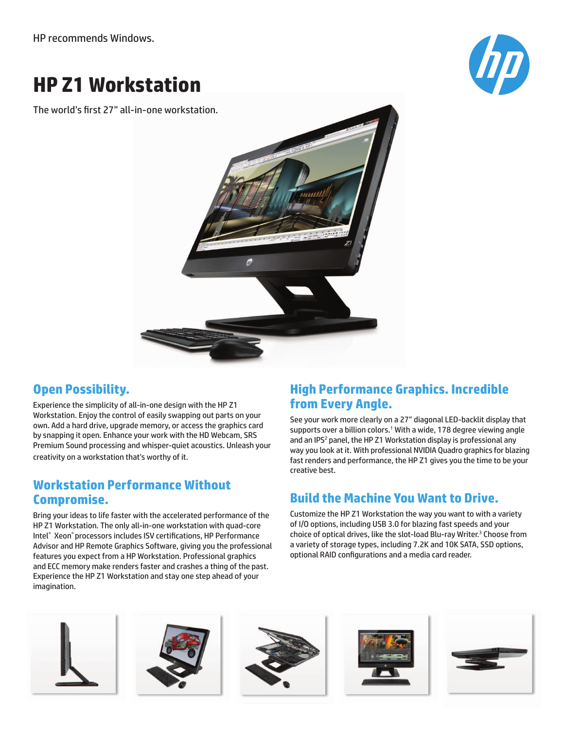HP recommends Windows.

# **HP Z1 Workstation**

The world's first 27" all-in-one workstation.





### **Open Possibility.**

Experience the simplicity of all-in-one design with the HP Z1 Workstation. Enjoy the control of easily swapping out parts on your own. Add a hard drive, upgrade memory, or access the graphics card by snapping it open. Enhance your work with the HD Webcam, SRS Premium Sound processing and whisper-quiet acoustics. Unleash your creativity on a workstation that's worthy of it.

#### **Workstation Performance Without Compromise.**

Bring your ideas to life faster with the accelerated performance of the HP Z1 Workstation. The only all-in-one workstation with quad-core Intel® Xeon® processors includes ISV certifications, HP Performance Advisor and HP Remote Graphics Software, giving you the professional features you expect from a HP Workstation. Professional graphics and ECC memory make renders faster and crashes a thing of the past. Experience the HP Z1 Workstation and stay one step ahead of your imagination.

# **High Performance Graphics. Incredible from Every Angle.**

See your work more clearly on a 27" diagonal LED-backlit display that supports over a billion colors.<sup>1</sup> With a wide, 178 degree viewing angle and an IPS<sup>2</sup> panel, the HP Z1 Workstation display is professional any way you look at it. With professional NVIDIA Quadro graphics for blazing fast renders and performance, the HP Z1 gives you the time to be your creative best.

# **Build the Machine You Want to Drive.**

Customize the HP Z1 Workstation the way you want to with a variety of I/O options, including USB 3.0 for blazing fast speeds and your choice of optical drives, like the slot-load Blu-ray Writer.<sup>3</sup> Choose from a variety of storage types, including 7.2K and 10K SATA, SSD options, optional RAID configurations and a media card reader.